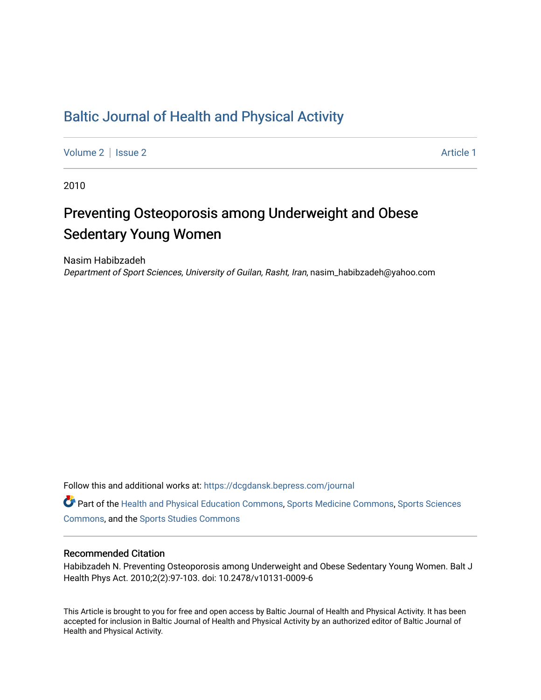## [Baltic Journal of Health and Physical Activity](https://dcgdansk.bepress.com/journal)

[Volume 2](https://dcgdansk.bepress.com/journal/vol2) | [Issue 2](https://dcgdansk.bepress.com/journal/vol2/iss2) Article 1

2010

# Preventing Osteoporosis among Underweight and Obese Sedentary Young Women

Nasim Habibzadeh Department of Sport Sciences, University of Guilan, Rasht, Iran, nasim\_habibzadeh@yahoo.com

Follow this and additional works at: [https://dcgdansk.bepress.com/journal](https://dcgdansk.bepress.com/journal?utm_source=dcgdansk.bepress.com%2Fjournal%2Fvol2%2Fiss2%2F1&utm_medium=PDF&utm_campaign=PDFCoverPages)

Part of the [Health and Physical Education Commons](http://network.bepress.com/hgg/discipline/1327?utm_source=dcgdansk.bepress.com%2Fjournal%2Fvol2%2Fiss2%2F1&utm_medium=PDF&utm_campaign=PDFCoverPages), [Sports Medicine Commons,](http://network.bepress.com/hgg/discipline/1331?utm_source=dcgdansk.bepress.com%2Fjournal%2Fvol2%2Fiss2%2F1&utm_medium=PDF&utm_campaign=PDFCoverPages) [Sports Sciences](http://network.bepress.com/hgg/discipline/759?utm_source=dcgdansk.bepress.com%2Fjournal%2Fvol2%2Fiss2%2F1&utm_medium=PDF&utm_campaign=PDFCoverPages) [Commons](http://network.bepress.com/hgg/discipline/759?utm_source=dcgdansk.bepress.com%2Fjournal%2Fvol2%2Fiss2%2F1&utm_medium=PDF&utm_campaign=PDFCoverPages), and the [Sports Studies Commons](http://network.bepress.com/hgg/discipline/1198?utm_source=dcgdansk.bepress.com%2Fjournal%2Fvol2%2Fiss2%2F1&utm_medium=PDF&utm_campaign=PDFCoverPages) 

#### Recommended Citation

Habibzadeh N. Preventing Osteoporosis among Underweight and Obese Sedentary Young Women. Balt J Health Phys Act. 2010;2(2):97-103. doi: 10.2478/v10131-0009-6

This Article is brought to you for free and open access by Baltic Journal of Health and Physical Activity. It has been accepted for inclusion in Baltic Journal of Health and Physical Activity by an authorized editor of Baltic Journal of Health and Physical Activity.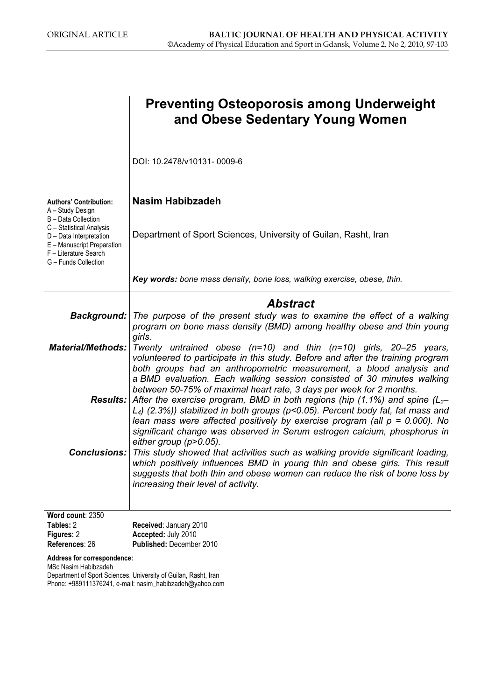|                                                                                                                                    | <b>Preventing Osteoporosis among Underweight</b><br>and Obese Sedentary Young Women                                                                                                                                                                                                                                                                                                                                                                                                                                               |
|------------------------------------------------------------------------------------------------------------------------------------|-----------------------------------------------------------------------------------------------------------------------------------------------------------------------------------------------------------------------------------------------------------------------------------------------------------------------------------------------------------------------------------------------------------------------------------------------------------------------------------------------------------------------------------|
|                                                                                                                                    | DOI: 10.2478/v10131-0009-6                                                                                                                                                                                                                                                                                                                                                                                                                                                                                                        |
| <b>Authors' Contribution:</b><br>A - Study Design<br>B - Data Collection                                                           | <b>Nasim Habibzadeh</b>                                                                                                                                                                                                                                                                                                                                                                                                                                                                                                           |
| C - Statistical Analysis<br>D - Data Interpretation<br>E - Manuscript Preparation<br>F - Literature Search<br>G - Funds Collection | Department of Sport Sciences, University of Guilan, Rasht, Iran                                                                                                                                                                                                                                                                                                                                                                                                                                                                   |
|                                                                                                                                    | Key words: bone mass density, bone loss, walking exercise, obese, thin.                                                                                                                                                                                                                                                                                                                                                                                                                                                           |
|                                                                                                                                    | <b>Abstract</b><br><b>Background:</b> The purpose of the present study was to examine the effect of a walking<br>program on bone mass density (BMD) among healthy obese and thin young                                                                                                                                                                                                                                                                                                                                            |
| <b>Material/Methods:</b>                                                                                                           | girls.<br>Twenty untrained obese $(n=10)$ and thin $(n=10)$ girls, 20-25 years,<br>volunteered to participate in this study. Before and after the training program<br>both groups had an anthropometric measurement, a blood analysis and                                                                                                                                                                                                                                                                                         |
|                                                                                                                                    | a BMD evaluation. Each walking session consisted of 30 minutes walking<br>between 50-75% of maximal heart rate, 3 days per week for 2 months.<br><b>Results:</b> After the exercise program, BMD in both regions (hip (1.1%) and spine ( $L_z$<br>$L_4$ ) (2.3%)) stabilized in both groups (p<0.05). Percent body fat, fat mass and<br>lean mass were affected positively by exercise program (all $p = 0.000$ ). No<br>significant change was observed in Serum estrogen calcium, phosphorus in<br>either group ( $p > 0.05$ ). |
|                                                                                                                                    | <b>Conclusions:</b> This study showed that activities such as walking provide significant loading,<br>which positively influences BMD in young thin and obese girls. This result<br>suggests that both thin and obese women can reduce the risk of bone loss by<br>increasing their level of activity.                                                                                                                                                                                                                            |
| Word count: 2350<br>Tables: 2                                                                                                      | Received: January 2010                                                                                                                                                                                                                                                                                                                                                                                                                                                                                                            |
| Figures: 2<br>References: 26                                                                                                       | Accepted: July 2010<br>Published: December 2010                                                                                                                                                                                                                                                                                                                                                                                                                                                                                   |
| Address for correspondence:<br>MSc Nasim Habibzadeh                                                                                | Department of Sport Sciences, University of Guilan, Rasht, Iran                                                                                                                                                                                                                                                                                                                                                                                                                                                                   |

Phone: +989111376241, e-mail: nasim\_habibzadeh@yahoo.com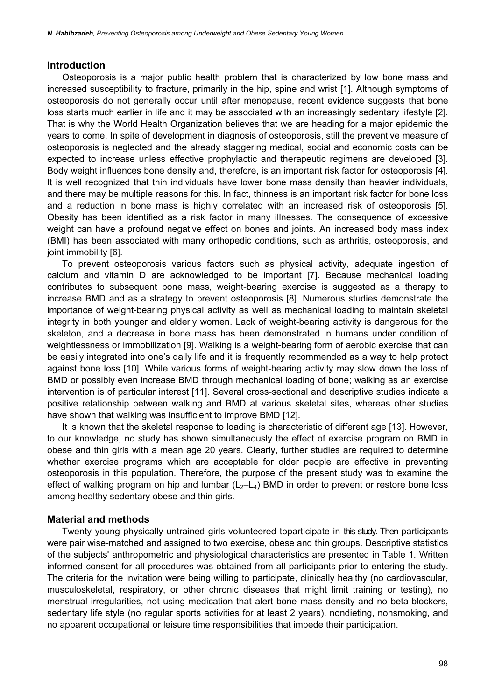#### Introduction

Osteoporosis is a major public health problem that is characterized by low bone mass and increased susceptibility to fracture, primarily in the hip, spine and wrist [1]. Although symptoms of osteoporosis do not generally occur until after menopause, recent evidence suggests that bone loss starts much earlier in life and it may be associated with an increasingly sedentary lifestyle [2]. That is why the World Health Organization believes that we are heading for a major epidemic the years to come. In spite of development in diagnosis of osteoporosis, still the preventive measure of osteoporosis is neglected and the already staggering medical, social and economic costs can be expected to increase unless effective prophylactic and therapeutic regimens are developed [3]. Body weight influences bone density and, therefore, is an important risk factor for osteoporosis [4]. It is well recognized that thin individuals have lower bone mass density than heavier individuals, and there may be multiple reasons for this. In fact, thinness is an important risk factor for bone loss and a reduction in bone mass is highly correlated with an increased risk of osteoporosis [5]. Obesity has been identified as a risk factor in many illnesses. The consequence of excessive weight can have a profound negative effect on bones and joints. An increased body mass index (BMI) has been associated with many orthopedic conditions, such as arthritis, osteoporosis, and joint immobility [6].

To prevent osteoporosis various factors such as physical activity, adequate ingestion of calcium and vitamin D are acknowledged to be important [7]. Because mechanical loading contributes to subsequent bone mass, weight-bearing exercise is suggested as a therapy to increase BMD and as a strategy to prevent osteoporosis [8]. Numerous studies demonstrate the importance of weight-bearing physical activity as well as mechanical loading to maintain skeletal integrity in both younger and elderly women. Lack of weight-bearing activity is dangerous for the skeleton, and a decrease in bone mass has been demonstrated in humans under condition of weightlessness or immobilization [9]. Walking is a weight-bearing form of aerobic exercise that can be easily integrated into one's daily life and it is frequently recommended as a way to help protect against bone loss [10]. While various forms of weight-bearing activity may slow down the loss of BMD or possibly even increase BMD through mechanical loading of bone; walking as an exercise intervention is of particular interest [11]. Several cross-sectional and descriptive studies indicate a positive relationship between walking and BMD at various skeletal sites, whereas other studies have shown that walking was insufficient to improve BMD [12].

It is known that the skeletal response to loading is characteristic of different age [13]. However, to our knowledge, no study has shown simultaneously the effect of exercise program on BMD in obese and thin girls with a mean age 20 years. Clearly, further studies are required to determine whether exercise programs which are acceptable for older people are effective in preventing osteoporosis in this population. Therefore, the purpose of the present study was to examine the effect of walking program on hip and lumbar  $(L_2-L_4)$  BMD in order to prevent or restore bone loss among healthy sedentary obese and thin girls.

#### Material and methods

Twenty young physically untrained girls volunteered toparticipate in this study. Then participants were pair wise-matched and assigned to two exercise, obese and thin groups. Descriptive statistics of the subjects' anthropometric and physiological characteristics are presented in Table 1. Written informed consent for all procedures was obtained from all participants prior to entering the study. The criteria for the invitation were being willing to participate, clinically healthy (no cardiovascular, musculoskeletal, respiratory, or other chronic diseases that might limit training or testing), no menstrual irregularities, not using medication that alert bone mass density and no beta-blockers, sedentary life style (no regular sports activities for at least 2 years), nondieting, nonsmoking, and no apparent occupational or leisure time responsibilities that impede their participation.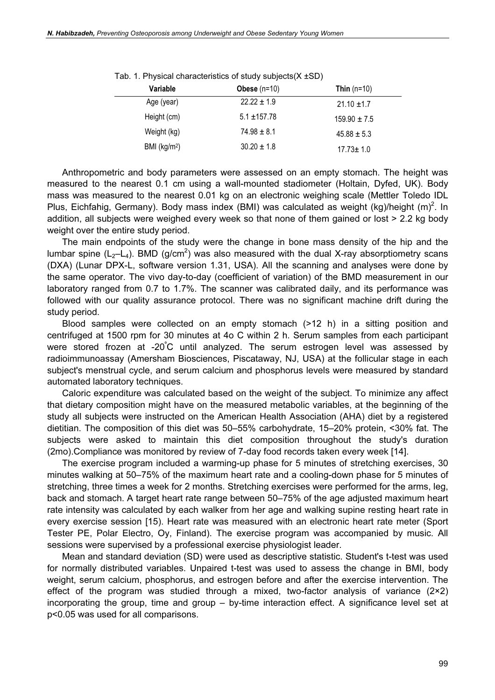| Variable      | Obese $(n=10)$   | Thin $(n=10)$    |
|---------------|------------------|------------------|
| Age (year)    | $22.22 \pm 1.9$  | $21.10 \pm 1.7$  |
| Height (cm)   | $5.1 \pm 157.78$ | $159.90 \pm 7.5$ |
| Weight (kg)   | $74.98 \pm 8.1$  | $45.88 \pm 5.3$  |
| BMI $(kg/m2)$ | $30.20 \pm 1.8$  | $17.73 \pm 1.0$  |

Tab. 1. Physical characteristics of study subjects(X ±SD)

Anthropometric and body parameters were assessed on an empty stomach. The height was measured to the nearest 0.1 cm using a wall-mounted stadiometer (Holtain, Dyfed, UK). Body mass was measured to the nearest 0.01 kg on an electronic weighing scale (Mettler Toledo IDL Plus, Eichfahig, Germany). Body mass index (BMI) was calculated as weight (kg)/height  $(m)^2$ . In addition, all subjects were weighed every week so that none of them gained or lost > 2.2 kg body weight over the entire study period.

The main endpoints of the study were the change in bone mass density of the hip and the lumbar spine (L<sub>2</sub>-L<sub>4</sub>). BMD (g/cm<sup>2</sup>) was also measured with the dual X-ray absorptiometry scans (DXA) (Lunar DPX-L, software version 1.31, USA). All the scanning and analyses were done by the same operator. The vivo day-to-day (coefficient of variation) of the BMD measurement in our laboratory ranged from 0.7 to 1.7%. The scanner was calibrated daily, and its performance was followed with our quality assurance protocol. There was no significant machine drift during the study period.

Blood samples were collected on an empty stomach (>12 h) in a sitting position and centrifuged at 1500 rpm for 30 minutes at 4o C within 2 h. Serum samples from each participant were stored frozen at -20°C until analyzed. The serum estrogen level was assessed by radioimmunoassay (Amersham Biosciences, Piscataway, NJ, USA) at the follicular stage in each subject's menstrual cycle, and serum calcium and phosphorus levels were measured by standard automated laboratory techniques.

Caloric expenditure was calculated based on the weight of the subject. To minimize any affect that dietary composition might have on the measured metabolic variables, at the beginning of the study all subjects were instructed on the American Health Association (AHA) diet by a registered dietitian. The composition of this diet was 50–55% carbohydrate, 15–20% protein, <30% fat. The subjects were asked to maintain this diet composition throughout the study's duration (2mo).Compliance was monitored by review of 7-day food records taken every week [14].

The exercise program included a warming-up phase for 5 minutes of stretching exercises, 30 minutes walking at 50–75% of the maximum heart rate and a cooling-down phase for 5 minutes of stretching, three times a week for 2 months. Stretching exercises were performed for the arms, leg, back and stomach. A target heart rate range between 50–75% of the age adjusted maximum heart rate intensity was calculated by each walker from her age and walking supine resting heart rate in every exercise session [15). Heart rate was measured with an electronic heart rate meter (Sport Tester PE, Polar Electro, Oy, Finland). The exercise program was accompanied by music. All sessions were supervised by a professional exercise physiologist leader.

Mean and standard deviation (SD) were used as descriptive statistic. Student's t-test was used for normally distributed variables. Unpaired t-test was used to assess the change in BMI, body weight, serum calcium, phosphorus, and estrogen before and after the exercise intervention. The effect of the program was studied through a mixed, two-factor analysis of variance (2×2) incorporating the group, time and group – by-time interaction effect. A significance level set at p<0.05 was used for all comparisons.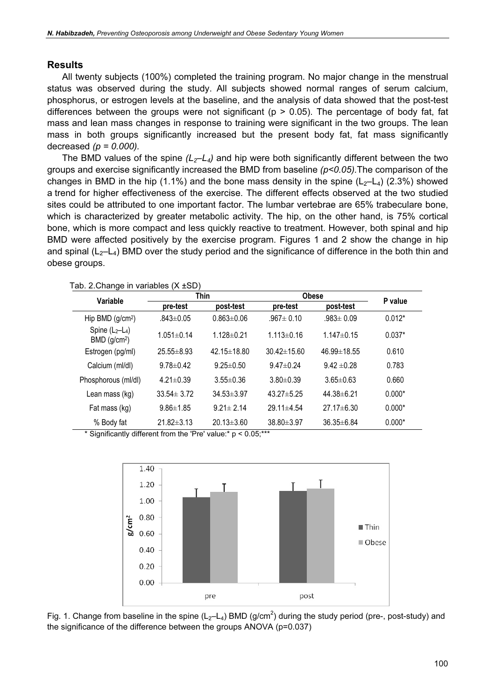#### Results

All twenty subjects (100%) completed the training program. No major change in the menstrual status was observed during the study. All subjects showed normal ranges of serum calcium, phosphorus, or estrogen levels at the baseline, and the analysis of data showed that the post-test differences between the groups were not significant (p > 0.05). The percentage of body fat, fat mass and lean mass changes in response to training were significant in the two groups. The lean mass in both groups significantly increased but the present body fat, fat mass significantly decreased  $(p = 0.000)$ .

The BMD values of the spine  $(L_2-L_4)$  and hip were both significantly different between the two groups and exercise significantly increased the BMD from baseline  $(p<0.05)$ . The comparison of the changes in BMD in the hip (1.1%) and the bone mass density in the spine  $(L_2-L_4)$  (2.3%) showed a trend for higher effectiveness of the exercise. The different effects observed at the two studied sites could be attributed to one important factor. The lumbar vertebrae are 65% trabeculare bone, which is characterized by greater metabolic activity. The hip, on the other hand, is 75% cortical bone, which is more compact and less quickly reactive to treatment. However, both spinal and hip BMD were affected positively by the exercise program. Figures 1 and 2 show the change in hip and spinal ( $L_2-L_4$ ) BMD over the study period and the significance of difference in the both thin and obese groups.

| $\alpha$ . 2. Only in variables ( $\lambda$ 1907 |                  |                   |                   |                  |          |  |  |
|--------------------------------------------------|------------------|-------------------|-------------------|------------------|----------|--|--|
| Variable                                         | <b>Thin</b>      |                   | <b>Obese</b>      |                  | P value  |  |  |
|                                                  | pre-test         | post-test         | pre-test          | post-test        |          |  |  |
| Hip BMD $(g/cm2)$                                | $.843 \pm 0.05$  | $0.863 \pm 0.06$  | $.967 \pm 0.10$   | $.983 \pm 0.09$  | $0.012*$ |  |  |
| Spine $(L_2-L_4)$<br>$BMD$ (g/cm <sup>2</sup> )  | $1.051 \pm 0.14$ | $1.128 \pm 0.21$  | $1.113 \pm 0.16$  | $1.147 \pm 0.15$ | $0.037*$ |  |  |
| Estrogen (pg/ml)                                 | $25.55 \pm 8.93$ | $42.15 \pm 18.80$ | $30.42 \pm 15.60$ | 46.99±18.55      | 0.610    |  |  |
| Calcium (ml/dl)                                  | $9.78 \pm 0.42$  | $9.25 \pm 0.50$   | $9.47 \pm 0.24$   | $9.42 \pm 0.28$  | 0.783    |  |  |
| Phosphorous (ml/dl)                              | $4.21 \pm 0.39$  | $3.55 \pm 0.36$   | $3.80 \pm 0.39$   | $3.65 \pm 0.63$  | 0.660    |  |  |
| Lean mass (kg)                                   | $33.54 \pm 3.72$ | $34.53 \pm 3.97$  | $43.27 + 5.25$    | $44.38 \pm 6.21$ | $0.000*$ |  |  |
| Fat mass (kg)                                    | $9.86 \pm 1.85$  | $9.21 \pm 2.14$   | $29.11 \pm 4.54$  | $27.17 \pm 6.30$ | $0.000*$ |  |  |
| % Body fat                                       | $21.82 \pm 3.13$ | $20.13 \pm 3.60$  | $38.80 \pm 3.97$  | $36.35 \pm 6.84$ | $0.000*$ |  |  |

Tab. 2. Change in variables (X +SD)

\* Significantly different from the 'Pre' value:\* p < 0.05;\*\*\*



Fig. 1. Change from baseline in the spine (L<sub>2</sub>-L<sub>4</sub>) BMD (g/cm<sup>2</sup>) during the study period (pre-, post-study) and the significance of the difference between the groups ANOVA (p=0.037)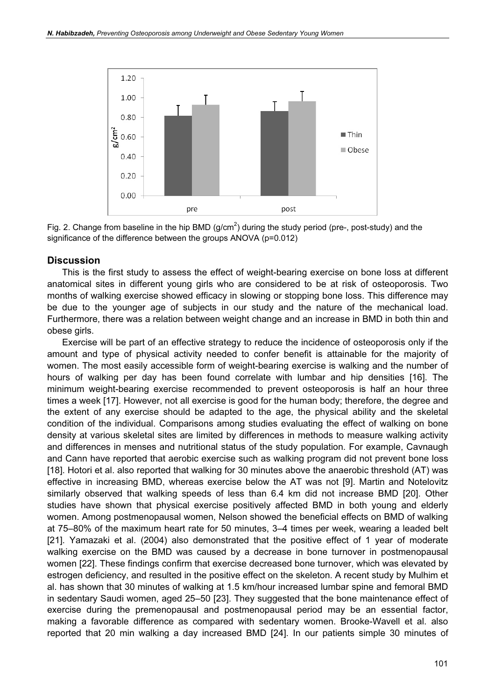

Fig. 2. Change from baseline in the hip BMD (g/cm<sup>2</sup>) during the study period (pre-, post-study) and the significance of the difference between the groups ANOVA (p=0.012)

#### **Discussion**

This is the first study to assess the effect of weight-bearing exercise on bone loss at different anatomical sites in different young girls who are considered to be at risk of osteoporosis. Two months of walking exercise showed efficacy in slowing or stopping bone loss. This difference may be due to the younger age of subjects in our study and the nature of the mechanical load. Furthermore, there was a relation between weight change and an increase in BMD in both thin and obese girls.

Exercise will be part of an effective strategy to reduce the incidence of osteoporosis only if the amount and type of physical activity needed to confer benefit is attainable for the majority of women. The most easily accessible form of weight-bearing exercise is walking and the number of hours of walking per day has been found correlate with lumbar and hip densities [16]. The minimum weight-bearing exercise recommended to prevent osteoporosis is half an hour three times a week [17]. However, not all exercise is good for the human body; therefore, the degree and the extent of any exercise should be adapted to the age, the physical ability and the skeletal condition of the individual. Comparisons among studies evaluating the effect of walking on bone density at various skeletal sites are limited by differences in methods to measure walking activity and differences in menses and nutritional status of the study population. For example, Cavnaugh and Cann have reported that aerobic exercise such as walking program did not prevent bone loss [18]. Hotori et al. also reported that walking for 30 minutes above the anaerobic threshold (AT) was effective in increasing BMD, whereas exercise below the AT was not [9]. Martin and Notelovitz similarly observed that walking speeds of less than 6.4 km did not increase BMD [20]. Other studies have shown that physical exercise positively affected BMD in both young and elderly women. Among postmenopausal women, Nelson showed the beneficial effects on BMD of walking at 75–80% of the maximum heart rate for 50 minutes, 3–4 times per week, wearing a leaded belt [21]. Yamazaki et al. (2004) also demonstrated that the positive effect of 1 year of moderate walking exercise on the BMD was caused by a decrease in bone turnover in postmenopausal women [22]. These findings confirm that exercise decreased bone turnover, which was elevated by estrogen deficiency, and resulted in the positive effect on the skeleton. A recent study by Mulhim et al. has shown that 30 minutes of walking at 1.5 km/hour increased lumbar spine and femoral BMD in sedentary Saudi women, aged 25–50 [23]. They suggested that the bone maintenance effect of exercise during the premenopausal and postmenopausal period may be an essential factor, making a favorable difference as compared with sedentary women. Brooke-Wavell et al. also reported that 20 min walking a day increased BMD [24]. In our patients simple 30 minutes of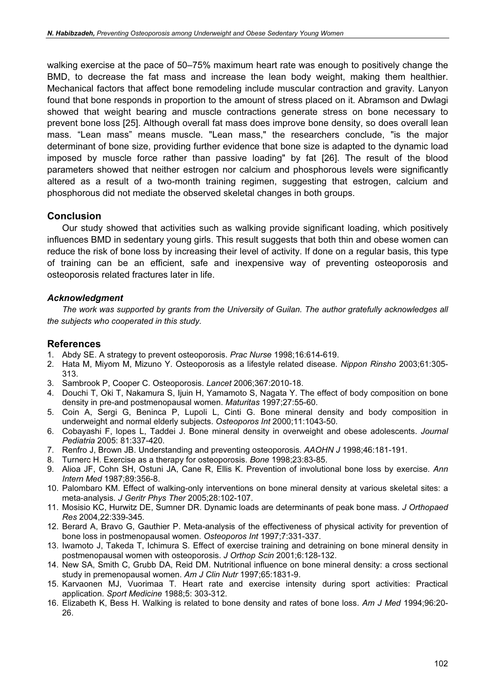walking exercise at the pace of 50–75% maximum heart rate was enough to positively change the BMD, to decrease the fat mass and increase the lean body weight, making them healthier. Mechanical factors that affect bone remodeling include muscular contraction and gravity. Lanyon found that bone responds in proportion to the amount of stress placed on it. Abramson and Dwlagi showed that weight bearing and muscle contractions generate stress on bone necessary to prevent bone loss [25]. Although overall fat mass does improve bone density, so does overall lean mass. "Lean mass" means muscle. "Lean mass," the researchers conclude, "is the major determinant of bone size, providing further evidence that bone size is adapted to the dynamic load imposed by muscle force rather than passive loading" by fat [26]. The result of the blood parameters showed that neither estrogen nor calcium and phosphorous levels were significantly altered as a result of a two-month training regimen, suggesting that estrogen, calcium and phosphorous did not mediate the observed skeletal changes in both groups.

## **Conclusion**

Our study showed that activities such as walking provide significant loading, which positively influences BMD in sedentary young girls. This result suggests that both thin and obese women can reduce the risk of bone loss by increasing their level of activity. If done on a regular basis, this type of training can be an efficient, safe and inexpensive way of preventing osteoporosis and osteoporosis related fractures later in life.

### Acknowledgment

The work was supported by grants from the University of Guilan. The author gratefully acknowledges all the subjects who cooperated in this study.

## References

- 1. Abdy SE. A strategy to prevent osteoporosis. Prac Nurse 1998;16:614-619.
- 2. Hata M, Miyom M, Mizuno Y. Osteoporosis as a lifestyle related disease. Nippon Rinsho 2003;61:305- 313.
- 3. Sambrook P, Cooper C. Osteoporosis. Lancet 2006;367:2010-18.
- 4. Douchi T, Oki T, Nakamura S, Ijuin H, Yamamoto S, Nagata Y. The effect of body composition on bone density in pre-and postmenopausal women. Maturitas 1997;27:55-60.
- 5. Coin A, Sergi G, Beninca P, Lupoli L, Cinti G. Bone mineral density and body composition in underweight and normal elderly subjects. Osteoporos Int 2000;11:1043-50.
- 6. Cobayashi F, lopes L, Taddei J. Bone mineral density in overweight and obese adolescents. Journal Pediatria 2005: 81:337-420.
- 7. Renfro J, Brown JB. Understanding and preventing osteoporosis. AAOHN J 1998;46:181-191.
- 8. Turnerc H. Exercise as a therapy for osteoporosis. Bone 1998;23:83-85.
- 9. Alioa JF, Cohn SH, Ostuni JA, Cane R, Ellis K. Prevention of involutional bone loss by exercise. Ann Intern Med 1987;89:356-8.
- 10. Palombaro KM. Effect of walking-only interventions on bone mineral density at various skeletal sites: a meta-analysis. J Geritr Phys Ther 2005;28:102-107.
- 11. Mosisio KC, Hurwitz DE, Sumner DR. Dynamic loads are determinants of peak bone mass. J Orthopaed Res 2004,22:339-345.
- 12. Berard A, Bravo G, Gauthier P. Meta-analysis of the effectiveness of physical activity for prevention of bone loss in postmenopausal women. Osteoporos Int 1997;7:331-337.
- 13. Iwamoto J, Takeda T, Ichimura S. Effect of exercise training and detraining on bone mineral density in postmenopausal women with osteoporosis. J Orthop Scin 2001;6:128-132.
- 14. New SA, Smith C, Grubb DA, Reid DM. Nutritional influence on bone mineral density: a cross sectional study in premenopausal women. Am J Clin Nutr 1997;65:1831-9.
- 15. Karvaonen MJ, Vuorimaa T. Heart rate and exercise intensity during sport activities: Practical application. Sport Medicine 1988;5: 303-312.
- 16. Elizabeth K, Bess H. Walking is related to bone density and rates of bone loss. Am J Med 1994;96:20- 26.